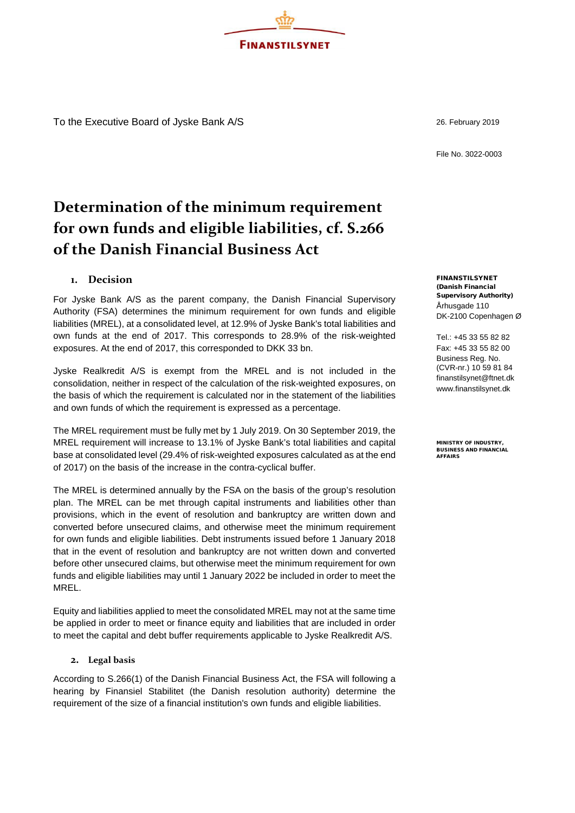To the Executive Board of Jyske Bank A/S 26. February 2019

File No. 3022-0003

# **Determination of the minimum requirement for own funds and eligible liabilities, cf. S.266 of the Danish Financial Business Act**

**FINANSTILSYNET** 

# **1. Decision**

For Jyske Bank A/S as the parent company, the Danish Financial Supervisory Authority (FSA) determines the minimum requirement for own funds and eligible liabilities (MREL), at a consolidated level, at 12.9% of Jyske Bank's total liabilities and own funds at the end of 2017. This corresponds to 28.9% of the risk-weighted exposures. At the end of 2017, this corresponded to DKK 33 bn.

Jyske Realkredit A/S is exempt from the MREL and is not included in the consolidation, neither in respect of the calculation of the risk-weighted exposures, on the basis of which the requirement is calculated nor in the statement of the liabilities and own funds of which the requirement is expressed as a percentage.

The MREL requirement must be fully met by 1 July 2019. On 30 September 2019, the MREL requirement will increase to 13.1% of Jyske Bank's total liabilities and capital base at consolidated level (29.4% of risk-weighted exposures calculated as at the end of 2017) on the basis of the increase in the contra-cyclical buffer.

The MREL is determined annually by the FSA on the basis of the group's resolution plan. The MREL can be met through capital instruments and liabilities other than provisions, which in the event of resolution and bankruptcy are written down and converted before unsecured claims, and otherwise meet the minimum requirement for own funds and eligible liabilities. Debt instruments issued before 1 January 2018 that in the event of resolution and bankruptcy are not written down and converted before other unsecured claims, but otherwise meet the minimum requirement for own funds and eligible liabilities may until 1 January 2022 be included in order to meet the MREL.

Equity and liabilities applied to meet the consolidated MREL may not at the same time be applied in order to meet or finance equity and liabilities that are included in order to meet the capital and debt buffer requirements applicable to Jyske Realkredit A/S.

### **2. Legal basis**

According to S.266(1) of the Danish Financial Business Act, the FSA will following a hearing by Finansiel Stabilitet (the Danish resolution authority) determine the requirement of the size of a financial institution's own funds and eligible liabilities.

FINANSTILSYNET (Danish Financial Supervisory Authority) Århusgade 110 DK-2100 Copenhagen Ø

Tel.: +45 33 55 82 82 Fax: +45 33 55 82 00 Business Reg. No. (CVR-nr.) 10 59 81 84 [finanstilsynet@ftnet.dk](mailto:finanstilsynet@ftnet.dk) [www.finanstilsynet.dk](http://www.finanstilsynet.dk/)

MINISTRY OF INDUSTRY, BUSINESS AND FINANCIAL AFFAIRS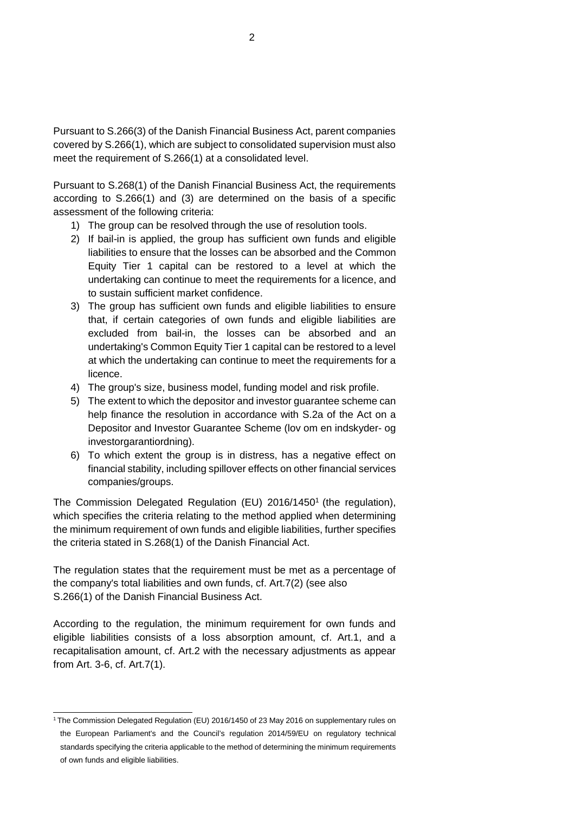Pursuant to S.266(3) of the Danish Financial Business Act, parent companies covered by S.266(1), which are subject to consolidated supervision must also meet the requirement of S.266(1) at a consolidated level.

Pursuant to S.268(1) of the Danish Financial Business Act, the requirements according to S.266(1) and (3) are determined on the basis of a specific assessment of the following criteria:

- 1) The group can be resolved through the use of resolution tools.
- 2) If bail-in is applied, the group has sufficient own funds and eligible liabilities to ensure that the losses can be absorbed and the Common Equity Tier 1 capital can be restored to a level at which the undertaking can continue to meet the requirements for a licence, and to sustain sufficient market confidence.
- 3) The group has sufficient own funds and eligible liabilities to ensure that, if certain categories of own funds and eligible liabilities are excluded from bail-in, the losses can be absorbed and an undertaking's Common Equity Tier 1 capital can be restored to a level at which the undertaking can continue to meet the requirements for a licence.
- 4) The group's size, business model, funding model and risk profile.
- 5) The extent to which the depositor and investor guarantee scheme can help finance the resolution in accordance with S.2a of the Act on a Depositor and Investor Guarantee Scheme (lov om en indskyder- og investorgarantiordning).
- 6) To which extent the group is in distress, has a negative effect on financial stability, including spillover effects on other financial services companies/groups.

The Commission Delegated Regulation (EU) 2016/14501 (the regulation), which specifies the criteria relating to the method applied when determining the minimum requirement of own funds and eligible liabilities, further specifies the criteria stated in S.268(1) of the Danish Financial Act.

The regulation states that the requirement must be met as a percentage of the company's total liabilities and own funds, cf. Art.7(2) (see also S.266(1) of the Danish Financial Business Act.

According to the regulation, the minimum requirement for own funds and eligible liabilities consists of a loss absorption amount, cf. Art.1, and a recapitalisation amount, cf. Art.2 with the necessary adjustments as appear from Art. 3-6, cf. Art.7(1).

<sup>&</sup>lt;sup>1</sup> The Commission Delegated Regulation (EU) 2016/1450 of 23 May 2016 on supplementary rules on the European Parliament's and the Council's regulation 2014/59/EU on regulatory technical standards specifying the criteria applicable to the method of determining the minimum requirements of own funds and eligible liabilities.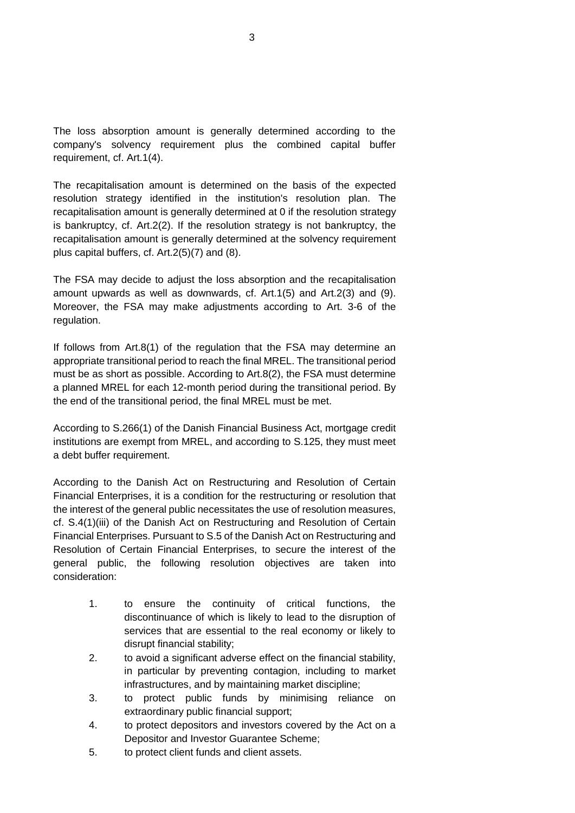The loss absorption amount is generally determined according to the company's solvency requirement plus the combined capital buffer requirement, cf. Art.1(4).

The recapitalisation amount is determined on the basis of the expected resolution strategy identified in the institution's resolution plan. The recapitalisation amount is generally determined at 0 if the resolution strategy is bankruptcy, cf. Art.2(2). If the resolution strategy is not bankruptcy, the recapitalisation amount is generally determined at the solvency requirement plus capital buffers, cf. Art.2(5)(7) and (8).

The FSA may decide to adjust the loss absorption and the recapitalisation amount upwards as well as downwards, cf. Art.1(5) and Art.2(3) and (9). Moreover, the FSA may make adjustments according to Art. 3-6 of the regulation.

If follows from Art.8(1) of the regulation that the FSA may determine an appropriate transitional period to reach the final MREL. The transitional period must be as short as possible. According to Art.8(2), the FSA must determine a planned MREL for each 12-month period during the transitional period. By the end of the transitional period, the final MREL must be met.

According to S.266(1) of the Danish Financial Business Act, mortgage credit institutions are exempt from MREL, and according to S.125, they must meet a debt buffer requirement.

According to the Danish Act on Restructuring and Resolution of Certain Financial Enterprises, it is a condition for the restructuring or resolution that the interest of the general public necessitates the use of resolution measures, cf. S.4(1)(iii) of the Danish Act on Restructuring and Resolution of Certain Financial Enterprises. Pursuant to S.5 of the Danish Act on Restructuring and Resolution of Certain Financial Enterprises, to secure the interest of the general public, the following resolution objectives are taken into consideration:

- 1. to ensure the continuity of critical functions, the discontinuance of which is likely to lead to the disruption of services that are essential to the real economy or likely to disrupt financial stability;
- 2. to avoid a significant adverse effect on the financial stability, in particular by preventing contagion, including to market infrastructures, and by maintaining market discipline;
- 3. to protect public funds by minimising reliance on extraordinary public financial support;
- 4. to protect depositors and investors covered by the Act on a Depositor and Investor Guarantee Scheme;
- 5. to protect client funds and client assets.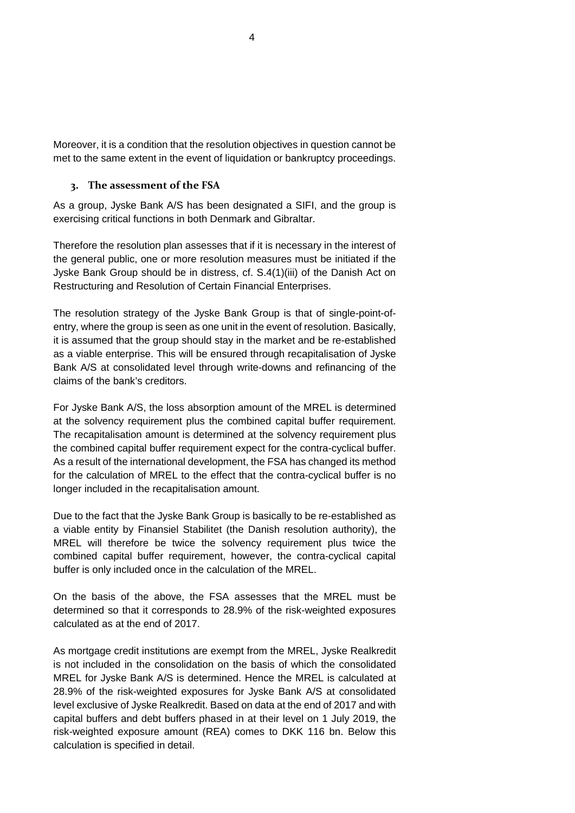Moreover, it is a condition that the resolution objectives in question cannot be met to the same extent in the event of liquidation or bankruptcy proceedings.

# **3. The assessment of the FSA**

As a group, Jyske Bank A/S has been designated a SIFI, and the group is exercising critical functions in both Denmark and Gibraltar.

Therefore the resolution plan assesses that if it is necessary in the interest of the general public, one or more resolution measures must be initiated if the Jyske Bank Group should be in distress, cf. S.4(1)(iii) of the Danish Act on Restructuring and Resolution of Certain Financial Enterprises.

The resolution strategy of the Jyske Bank Group is that of single-point-ofentry, where the group is seen as one unit in the event of resolution. Basically, it is assumed that the group should stay in the market and be re-established as a viable enterprise. This will be ensured through recapitalisation of Jyske Bank A/S at consolidated level through write-downs and refinancing of the claims of the bank's creditors.

For Jyske Bank A/S, the loss absorption amount of the MREL is determined at the solvency requirement plus the combined capital buffer requirement. The recapitalisation amount is determined at the solvency requirement plus the combined capital buffer requirement expect for the contra-cyclical buffer. As a result of the international development, the FSA has changed its method for the calculation of MREL to the effect that the contra-cyclical buffer is no longer included in the recapitalisation amount.

Due to the fact that the Jyske Bank Group is basically to be re-established as a viable entity by Finansiel Stabilitet (the Danish resolution authority), the MREL will therefore be twice the solvency requirement plus twice the combined capital buffer requirement, however, the contra-cyclical capital buffer is only included once in the calculation of the MREL.

On the basis of the above, the FSA assesses that the MREL must be determined so that it corresponds to 28.9% of the risk-weighted exposures calculated as at the end of 2017.

As mortgage credit institutions are exempt from the MREL, Jyske Realkredit is not included in the consolidation on the basis of which the consolidated MREL for Jyske Bank A/S is determined. Hence the MREL is calculated at 28.9% of the risk-weighted exposures for Jyske Bank A/S at consolidated level exclusive of Jyske Realkredit. Based on data at the end of 2017 and with capital buffers and debt buffers phased in at their level on 1 July 2019, the risk-weighted exposure amount (REA) comes to DKK 116 bn. Below this calculation is specified in detail.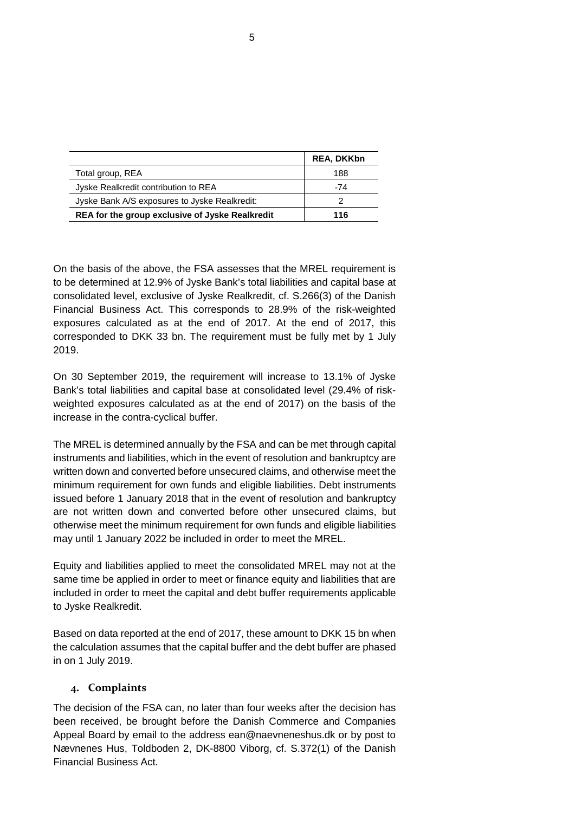|                                                 | <b>REA, DKKbn</b> |
|-------------------------------------------------|-------------------|
| Total group, REA                                | 188               |
| Jyske Realkredit contribution to REA            | -74               |
| Jyske Bank A/S exposures to Jyske Realkredit:   |                   |
| REA for the group exclusive of Jyske Realkredit | 116               |

On the basis of the above, the FSA assesses that the MREL requirement is to be determined at 12.9% of Jyske Bank's total liabilities and capital base at consolidated level, exclusive of Jyske Realkredit, cf. S.266(3) of the Danish Financial Business Act. This corresponds to 28.9% of the risk-weighted exposures calculated as at the end of 2017. At the end of 2017, this corresponded to DKK 33 bn. The requirement must be fully met by 1 July 2019.

On 30 September 2019, the requirement will increase to 13.1% of Jyske Bank's total liabilities and capital base at consolidated level (29.4% of riskweighted exposures calculated as at the end of 2017) on the basis of the increase in the contra-cyclical buffer.

The MREL is determined annually by the FSA and can be met through capital instruments and liabilities, which in the event of resolution and bankruptcy are written down and converted before unsecured claims, and otherwise meet the minimum requirement for own funds and eligible liabilities. Debt instruments issued before 1 January 2018 that in the event of resolution and bankruptcy are not written down and converted before other unsecured claims, but otherwise meet the minimum requirement for own funds and eligible liabilities may until 1 January 2022 be included in order to meet the MREL.

Equity and liabilities applied to meet the consolidated MREL may not at the same time be applied in order to meet or finance equity and liabilities that are included in order to meet the capital and debt buffer requirements applicable to Jyske Realkredit.

Based on data reported at the end of 2017, these amount to DKK 15 bn when the calculation assumes that the capital buffer and the debt buffer are phased in on 1 July 2019.

## **4. Complaints**

The decision of the FSA can, no later than four weeks after the decision has been received, be brought before the Danish Commerce and Companies Appeal Board by email to the address ean@naevneneshus.dk or by post to Nævnenes Hus, Toldboden 2, DK-8800 Viborg, cf. S.372(1) of the Danish Financial Business Act.